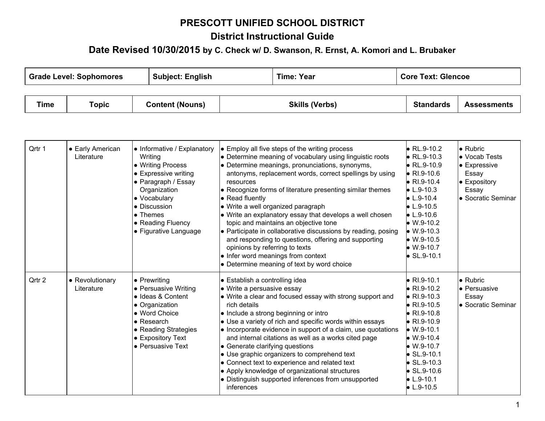# **PRESCOTT UNIFIED SCHOOL DISTRICT**

## **District Instructional Guide**

### **Date Revised 10/30/2015 <sup>b</sup><sup>y</sup> C. Check w/ D. Swanson, R. Ernst, A. Komori and L. Brubaker**

 $\overline{\phantom{a}}$ 

 $\top$ 

 $\overline{\phantom{a}}$ 

| <b>Grade Level: Sophomores</b> |       | <b>Subject: English</b> | Time: Year            | <b>Core Text: Glencoe</b> |                    |
|--------------------------------|-------|-------------------------|-----------------------|---------------------------|--------------------|
|                                |       |                         |                       |                           |                    |
| Time                           | Topic | <b>Content (Nouns)</b>  | <b>Skills (Verbs)</b> | <b>Standards</b>          | <b>Assessments</b> |

| Qrtr 1 | • Early American<br>Literature | • Informative / Explanatory<br>Writing<br>• Writing Process<br>$\bullet$ Expressive writing<br>• Paragraph / Essay<br>Organization<br>• Vocabulary<br>• Discussion<br>• Themes<br>• Reading Fluency<br>• Figurative Language | $\bullet$ Employ all five steps of the writing process<br>• Determine meaning of vocabulary using linguistic roots<br>• Determine meanings, pronunciations, synonyms,<br>antonyms, replacement words, correct spellings by using<br>resources<br>• Recognize forms of literature presenting similar themes<br>$\bullet$ Read fluently<br>$\bullet$ Write a well organized paragraph<br>$\bullet$ Write an explanatory essay that develops a well chosen<br>topic and maintains an objective tone<br>$\bullet$ Participate in collaborative discussions by reading, posing<br>and responding to questions, offering and supporting<br>opinions by referring to texts<br>$\bullet$ Infer word meanings from context<br>• Determine meaning of text by word choice | $\bullet$ RL.9-10.2<br>$\bullet$ RL.9-10.3<br>$\bullet$ RL.9-10.9<br>$\bullet$ RI.9-10.6<br>$\bullet$ RI.9-10.4<br>$\bullet$ L.9-10.3<br>$\bullet$ L.9-10.4<br>$\bullet$ L.9-10.5<br>$\bullet$ L.9-10.6<br>$\bullet$ W.9-10.2<br>$W.9-10.3$<br>$W.9-10.5$<br>$\bullet$ W.9-10.7<br>$\bullet$ SL.9-10.1    | $\bullet$ Rubric<br>• Vocab Tests<br>• Expressive<br>Essay<br>• Expository<br>Essay<br>• Socratic Seminar |
|--------|--------------------------------|------------------------------------------------------------------------------------------------------------------------------------------------------------------------------------------------------------------------------|-----------------------------------------------------------------------------------------------------------------------------------------------------------------------------------------------------------------------------------------------------------------------------------------------------------------------------------------------------------------------------------------------------------------------------------------------------------------------------------------------------------------------------------------------------------------------------------------------------------------------------------------------------------------------------------------------------------------------------------------------------------------|-----------------------------------------------------------------------------------------------------------------------------------------------------------------------------------------------------------------------------------------------------------------------------------------------------------|-----------------------------------------------------------------------------------------------------------|
| Qrtr 2 | • Revolutionary<br>Literature  | $\bullet$ Prewriting<br>• Persuasive Writing<br>· Ideas & Content<br>• Organization<br>• Word Choice<br>$\bullet$ Research<br>• Reading Strategies<br>• Expository Text<br>• Persuasive Text                                 | ● Establish a controlling idea<br>• Write a persuasive essay<br>$\bullet$ Write a clear and focused essay with strong support and<br>rich details<br>$\bullet$ Include a strong beginning or intro<br>$\bullet$ Use a variety of rich and specific words within essays<br>$\bullet$ Incorporate evidence in support of a claim, use quotations<br>and internal citations as well as a works cited page<br>$\bullet$ Generate clarifying questions<br>$\bullet$ Use graphic organizers to comprehend text<br>• Connect text to experience and related text<br>• Apply knowledge of organizational structures<br>• Distinguish supported inferences from unsupported<br>inferences                                                                                | $\bullet$ RI.9-10.1<br>$\bullet$ RI.9-10.2<br>$\bullet$ RI.9-10.3<br>$\bullet$ RI.9-10.5<br>$\bullet$ RI.9-10.8<br>$\bullet$ RI.9-10.9<br>$\bullet$ W.9-10.1<br>$W.9-10.4$<br>$W.9-10.7$<br>$\bullet$ SL.9-10.1<br>$\bullet$ SL.9-10.3<br>$\bullet$ SL.9-10.6<br>$\bullet$ L.9-10.1<br>$\bullet$ L.9-10.5 | $\bullet$ Rubric<br>lo Persuasive<br>Essay<br>• Socratic Seminar                                          |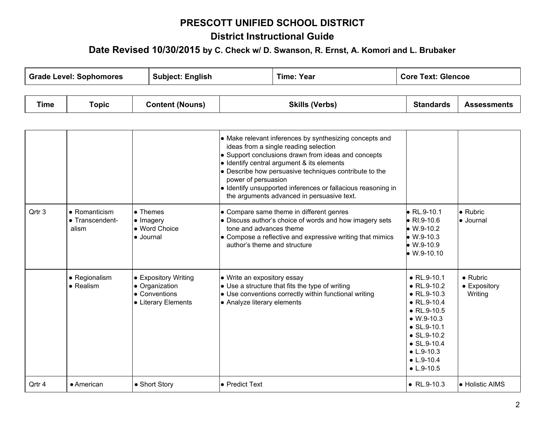# **PRESCOTT UNIFIED SCHOOL DISTRICT**

## **District Instructional Guide**

#### **Date Revised 10/30/2015 <sup>b</sup><sup>y</sup> C. Check w/ D. Swanson, R. Ernst, A. Komori and L. Brubaker**

| <b>Grade Level: Sophomores</b> |       | <b>Subject: English</b> | Time: Year            | <b>Core Text: Glencoe</b> |                    |
|--------------------------------|-------|-------------------------|-----------------------|---------------------------|--------------------|
|                                |       |                         |                       |                           |                    |
| Time                           | Topic | <b>Content (Nouns)</b>  | <b>Skills (Verbs)</b> | <b>Standards</b>          | <b>Assessments</b> |

|        |                                                   |                                                                     | • Make relevant inferences by synthesizing concepts and<br>ideas from a single reading selection<br>$\bullet$ Support conclusions drawn from ideas and concepts<br>$\bullet$ Identify central argument & its elements<br>$\bullet$ Describe how persuasive techniques contribute to the<br>power of persuasion<br><b>•</b> Identify unsupported inferences or fallacious reasoning in<br>the arguments advanced in persuasive text. |                                                                                                                                                           |                                    |
|--------|---------------------------------------------------|---------------------------------------------------------------------|-------------------------------------------------------------------------------------------------------------------------------------------------------------------------------------------------------------------------------------------------------------------------------------------------------------------------------------------------------------------------------------------------------------------------------------|-----------------------------------------------------------------------------------------------------------------------------------------------------------|------------------------------------|
| Qrtr 3 | $\bullet$ Romanticism<br>• Transcendent-<br>alism | $\bullet$ Themes<br>• Imagery<br>• Word Choice<br>$\bullet$ Journal | • Compare same theme in different genres<br>$\bullet$ Discuss author's choice of words and how imagery sets<br>tone and advances theme<br><b>.</b> Compose a reflective and expressive writing that mimics<br>author's theme and structure                                                                                                                                                                                          | $\bullet$ RL.9-10.1<br>$\bullet$ RI.9-10.6<br>$\bullet$ W.9-10.2<br>$W.9-10.3$<br>$\bullet$ W.9-10.9<br>$\overline{1110}$ $\overline{10}$ $\overline{10}$ | $\bullet$ Rubric<br><b>Journal</b> |

| Qrtr 3 | $\bullet$ Romanticism<br>• Transcendent-<br>alism | $\bullet$ Themes<br>$\bullet$ Imagery<br>• Word Choice<br>• Journal            | • Compare same theme in different genres<br>• Discuss author's choice of words and how imagery sets<br>tone and advances theme<br>$\bullet$ Compose a reflective and expressive writing that mimics<br>author's theme and structure | $\bullet$ RL.9-10.1<br>$\bullet$ RI.9-10.6<br>$\bullet$ W.9-10.2<br>$W.9-10.3$<br>$W.9-10.9$<br>$W.9-10.10$                                                                                                                                                     | $\bullet$ Rubric<br><b>Journal</b>          |
|--------|---------------------------------------------------|--------------------------------------------------------------------------------|-------------------------------------------------------------------------------------------------------------------------------------------------------------------------------------------------------------------------------------|-----------------------------------------------------------------------------------------------------------------------------------------------------------------------------------------------------------------------------------------------------------------|---------------------------------------------|
|        | • Regionalism<br>$\bullet$ Realism                | • Expository Writing<br>• Organization<br>• Conventions<br>• Literary Elements | • Write an expository essay<br>$\bullet$ Use a structure that fits the type of writing<br>$\bullet$ Use conventions correctly within functional writing<br>• Analyze literary elements                                              | $\bullet$ RL.9-10.1<br>$\bullet$ RL.9-10.2<br>$\bullet$ RL.9-10.3<br>$\bullet$ RL.9-10.4<br>• $RL.9-10.5$<br>$W.9-10.3$<br>$\bullet$ SL.9-10.1<br>$\bullet$ SL, 9-10.2<br>$\bullet$ SL.9-10.4<br>$\bullet$ L.9-10.3<br>$\bullet$ L.9-10.4<br>$\bullet$ L.9-10.5 | $\bullet$ Rubric<br>• Expository<br>Writing |
| Qrtr 4 | $\bullet$ American                                | • Short Story                                                                  | l● Predict Text                                                                                                                                                                                                                     | • $RL.9-10.3$                                                                                                                                                                                                                                                   | • Holistic AIMS                             |